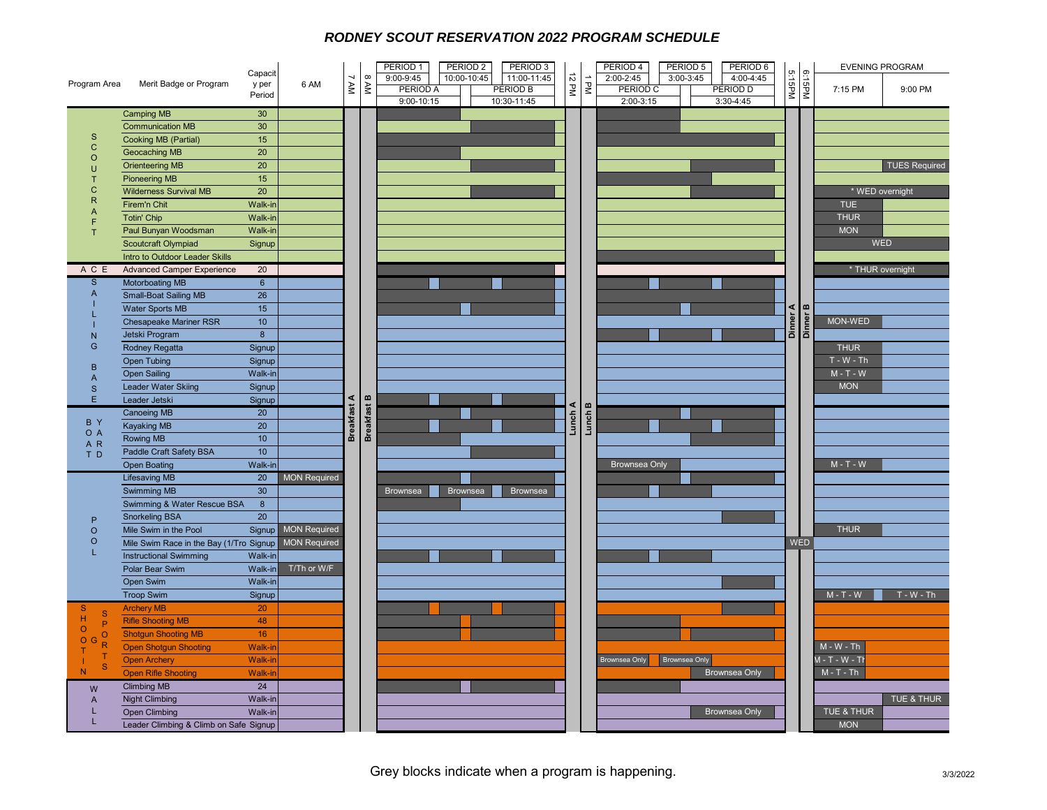## *RODNEY SCOUT RESERVATION 2022 PROGRAM SCHEDULE*

|                                                                                                                                                                                                                                          |                                         | Capacit            |                     |                       |                    | PERIOD <sub>1</sub>               | PERIOD <sub>2</sub> | PERIOD <sub>3</sub>            |            |         | PERIOD 4<br>PERIOD 5      | PERIOD 6                |                                |        | <b>EVENING PROGRAM</b> |                      |                 |  |
|------------------------------------------------------------------------------------------------------------------------------------------------------------------------------------------------------------------------------------------|-----------------------------------------|--------------------|---------------------|-----------------------|--------------------|-----------------------------------|---------------------|--------------------------------|------------|---------|---------------------------|-------------------------|--------------------------------|--------|------------------------|----------------------|-----------------|--|
| Program Area                                                                                                                                                                                                                             | Merit Badge or Program                  | y per              | 6 AM                | 7 AM                  | NV8                | 9:00-9:45                         | 10:00-10:45         | 11:00-11:45                    | 12 PM      | J PM    | 2:00-2:45<br>3:00-3:45    | 4:00-4:45               | 5:15PM                         |        |                        |                      |                 |  |
|                                                                                                                                                                                                                                          |                                         | Period             |                     |                       |                    | <b>PERIOD A</b><br>$9:00 - 10:15$ |                     | <b>PERIOD B</b><br>10:30-11:45 |            |         | PERIOD C<br>$2:00 - 3:15$ | PERIOD D<br>$3:30-4:45$ |                                | 6:15PM | 7:15 PM                | 9:00 PM              |                 |  |
|                                                                                                                                                                                                                                          | <b>Camping MB</b>                       | 30                 |                     |                       |                    |                                   |                     |                                |            |         |                           |                         |                                |        |                        |                      |                 |  |
|                                                                                                                                                                                                                                          | <b>Communication MB</b>                 | 30                 |                     |                       |                    |                                   |                     |                                |            |         |                           |                         |                                |        |                        |                      |                 |  |
| $\mathsf{s}$                                                                                                                                                                                                                             | Cooking MB (Partial)                    | 15                 |                     |                       |                    |                                   |                     |                                |            |         |                           |                         |                                |        |                        |                      |                 |  |
| $\mathbf C$                                                                                                                                                                                                                              | Geocaching MB                           | 20                 |                     |                       |                    |                                   |                     |                                |            |         |                           |                         |                                |        |                        |                      |                 |  |
| $\circ$                                                                                                                                                                                                                                  | <b>Orienteering MB</b>                  | 20                 |                     |                       |                    |                                   |                     |                                |            |         |                           |                         |                                |        |                        | <b>TUES Required</b> |                 |  |
| $\cup$<br>T                                                                                                                                                                                                                              | <b>Pioneering MB</b>                    | 15                 |                     |                       |                    |                                   |                     |                                |            |         |                           |                         |                                |        |                        |                      |                 |  |
| C                                                                                                                                                                                                                                        | <b>Wilderness Survival MB</b>           | 20                 |                     |                       |                    |                                   |                     |                                |            |         |                           |                         |                                |        | * WED overnight        |                      |                 |  |
| $\overline{R}$                                                                                                                                                                                                                           | Firem'n Chit                            | Walk-in            |                     |                       |                    |                                   |                     |                                |            |         |                           |                         |                                |        |                        | <b>TUE</b>           |                 |  |
| $\mathsf{A}$                                                                                                                                                                                                                             | <b>Totin' Chip</b>                      | Walk-in            |                     |                       |                    |                                   |                     |                                |            |         |                           |                         |                                |        | <b>THUR</b>            |                      |                 |  |
| F<br>T                                                                                                                                                                                                                                   | Paul Bunyan Woodsman                    | Walk-in            |                     |                       |                    |                                   |                     |                                |            |         |                           |                         |                                |        | <b>MON</b>             |                      |                 |  |
|                                                                                                                                                                                                                                          | Scoutcraft Olympiad                     | Signup             |                     |                       |                    |                                   |                     |                                |            |         |                           |                         |                                |        | WED                    |                      |                 |  |
|                                                                                                                                                                                                                                          | Intro to Outdoor Leader Skills          |                    |                     |                       |                    |                                   |                     |                                |            |         |                           |                         |                                |        |                        |                      |                 |  |
| A C E                                                                                                                                                                                                                                    | <b>Advanced Camper Experience</b>       | 20                 |                     |                       |                    |                                   |                     |                                |            |         |                           |                         | Dinner A<br>Dinner B           |        | * THUR overnight       |                      |                 |  |
| $\mathsf{s}$                                                                                                                                                                                                                             | <b>Motorboating MB</b>                  | 6                  |                     |                       |                    |                                   |                     |                                |            |         |                           |                         |                                |        |                        |                      |                 |  |
| $\overline{A}$                                                                                                                                                                                                                           | <b>Small-Boat Sailing MB</b>            | 26                 |                     |                       |                    |                                   |                     |                                |            |         |                           |                         |                                |        |                        |                      |                 |  |
|                                                                                                                                                                                                                                          | <b>Water Sports MB</b>                  | 15                 |                     |                       |                    |                                   |                     |                                |            |         |                           |                         |                                |        |                        |                      |                 |  |
|                                                                                                                                                                                                                                          | <b>Chesapeake Mariner RSR</b>           | 10 <sup>°</sup>    |                     |                       |                    |                                   |                     |                                |            |         |                           |                         |                                |        | MON-WED                |                      |                 |  |
| N                                                                                                                                                                                                                                        | Jetski Program                          | $\overline{8}$     |                     |                       |                    |                                   |                     |                                |            |         |                           |                         |                                |        |                        |                      |                 |  |
| G                                                                                                                                                                                                                                        | Rodney Regatta                          | Signup             |                     |                       |                    |                                   |                     |                                |            |         |                           | <b>THUR</b>             |                                |        |                        |                      |                 |  |
|                                                                                                                                                                                                                                          | <b>Open Tubing</b>                      | Signup             |                     |                       |                    |                                   |                     |                                |            |         |                           |                         |                                |        | $T - W - Th$           |                      |                 |  |
| B                                                                                                                                                                                                                                        | <b>Open Sailing</b>                     | Walk-in            |                     | ⋖<br><b>Breakfast</b> |                    |                                   |                     |                                |            |         |                           |                         |                                |        | $M - T - W$            |                      |                 |  |
| $\overline{A}$<br>S                                                                                                                                                                                                                      | Leader Water Skiing                     | Signup             |                     |                       |                    |                                   |                     |                                |            |         |                           |                         |                                |        | <b>MON</b>             |                      |                 |  |
| E                                                                                                                                                                                                                                        | Leader Jetski                           | Signup             |                     |                       | <b>Breakfast B</b> |                                   |                     |                                | ⋖<br>Lunch | Lunch B |                           |                         |                                |        |                        |                      |                 |  |
|                                                                                                                                                                                                                                          | <b>Canoeing MB</b>                      | 20                 |                     |                       |                    |                                   |                     |                                |            |         |                           |                         |                                |        |                        |                      |                 |  |
| B Y                                                                                                                                                                                                                                      | <b>Kayaking MB</b>                      | 20                 |                     |                       |                    |                                   |                     |                                |            |         |                           |                         |                                |        |                        |                      |                 |  |
| O A<br>AR                                                                                                                                                                                                                                | Rowing MB                               | 10 <sup>°</sup>    |                     |                       |                    |                                   |                     |                                |            |         |                           |                         |                                |        |                        |                      |                 |  |
| TD                                                                                                                                                                                                                                       | Paddle Craft Safety BSA                 | 10 <sup>°</sup>    |                     |                       |                    |                                   |                     |                                |            |         | <b>Brownsea Only</b>      |                         |                                |        |                        |                      |                 |  |
|                                                                                                                                                                                                                                          | <b>Open Boating</b>                     | Walk-in            |                     |                       |                    |                                   |                     |                                |            |         |                           |                         |                                |        | $M - T - W$            |                      |                 |  |
|                                                                                                                                                                                                                                          | <b>Lifesaving MB</b>                    | 20                 | <b>MON Required</b> |                       |                    |                                   |                     |                                |            |         |                           |                         |                                |        |                        |                      |                 |  |
|                                                                                                                                                                                                                                          | Swimming MB                             | 30                 |                     |                       |                    | <b>Brownsea</b>                   | Brownsea            | Brownsea                       |            |         |                           |                         |                                |        |                        |                      |                 |  |
|                                                                                                                                                                                                                                          | Swimming & Water Rescue BSA             | $\boldsymbol{8}$   |                     |                       |                    |                                   |                     |                                |            |         |                           |                         |                                |        |                        |                      |                 |  |
| P                                                                                                                                                                                                                                        | <b>Snorkeling BSA</b>                   | 20                 |                     |                       |                    |                                   |                     |                                |            |         |                           |                         |                                |        |                        |                      |                 |  |
| $\circ$                                                                                                                                                                                                                                  | Mile Swim in the Pool                   | Signup             | <b>MON Required</b> |                       |                    |                                   |                     |                                |            |         |                           |                         |                                |        | <b>THUR</b>            |                      |                 |  |
| $\circ$                                                                                                                                                                                                                                  | Mile Swim Race in the Bay (1/Tro Signup |                    | <b>MON Required</b> |                       |                    |                                   |                     |                                |            |         |                           |                         | <b>WED</b>                     |        |                        |                      |                 |  |
| L                                                                                                                                                                                                                                        | <b>Instructional Swimming</b>           | Walk-in            |                     |                       |                    |                                   |                     |                                |            |         |                           |                         |                                |        |                        |                      |                 |  |
|                                                                                                                                                                                                                                          | Polar Bear Swim                         | Walk-in            | T/Th or W/F         |                       |                    |                                   |                     |                                |            |         |                           |                         |                                |        |                        |                      |                 |  |
|                                                                                                                                                                                                                                          | Open Swim                               | Walk-in            |                     |                       |                    |                                   |                     |                                |            |         |                           |                         |                                |        |                        |                      |                 |  |
|                                                                                                                                                                                                                                          | <b>Troop Swim</b>                       | Signup             |                     |                       |                    |                                   |                     |                                |            |         |                           |                         |                                |        | $M - T - W$            | $T - W - Th$         |                 |  |
| <sub>S</sub><br>S<br>$\mathsf{H}% _{\mathsf{H}}^{\ast}(\mathcal{M}_{0})\simeq\mathsf{H}_{\mathsf{H}}^{\ast}(\mathcal{M}_{0})$<br>P<br>$\circ$<br>$\circ$<br>$\circ$<br>$\mathsf{R}$<br>т<br>т<br>S<br>N<br>W<br>$\overline{A}$<br>т<br>L | <b>Archery MB</b>                       | 20                 |                     |                       |                    |                                   |                     |                                |            |         |                           |                         |                                |        |                        |                      |                 |  |
|                                                                                                                                                                                                                                          | <b>Rifle Shooting MB</b>                | 48                 |                     |                       |                    |                                   |                     |                                |            |         |                           |                         |                                |        |                        |                      |                 |  |
|                                                                                                                                                                                                                                          | <b>Shotgun Shooting MB</b>              | 16                 |                     |                       |                    |                                   |                     |                                |            |         |                           |                         |                                |        |                        |                      |                 |  |
|                                                                                                                                                                                                                                          | <b>Open Shotgun Shooting</b>            | <b>Walk-in</b>     |                     |                       |                    |                                   |                     |                                |            |         |                           |                         |                                |        | $M - W - Th$           |                      |                 |  |
|                                                                                                                                                                                                                                          | <b>Open Archery</b>                     | Walk-in            |                     |                       |                    |                                   |                     |                                |            |         |                           |                         | Brownsea Only<br>Brownsea Only |        |                        |                      | $M - T - W - T$ |  |
|                                                                                                                                                                                                                                          | <b>Open Rifle Shooting</b>              | <b>Walk-ir</b>     |                     |                       |                    |                                   |                     |                                |            |         |                           |                         | Brownsea Only                  |        |                        | $M - T - Th$         |                 |  |
|                                                                                                                                                                                                                                          | <b>Climbing MB</b>                      | 24                 |                     |                       |                    |                                   |                     |                                |            |         |                           |                         |                                |        |                        |                      | TUE & THUR      |  |
|                                                                                                                                                                                                                                          | <b>Night Climbing</b>                   | Walk-in<br>Walk-in |                     |                       |                    |                                   |                     |                                |            |         |                           |                         |                                |        | TUE & THUR             |                      |                 |  |
|                                                                                                                                                                                                                                          | <b>Open Climbing</b>                    |                    |                     |                       |                    |                                   |                     |                                |            |         |                           | <b>Brownsea Only</b>    |                                |        | <b>MON</b>             |                      |                 |  |
|                                                                                                                                                                                                                                          | Leader Climbing & Climb on Safe Signup  |                    |                     |                       |                    |                                   |                     |                                |            |         |                           |                         |                                |        |                        |                      |                 |  |